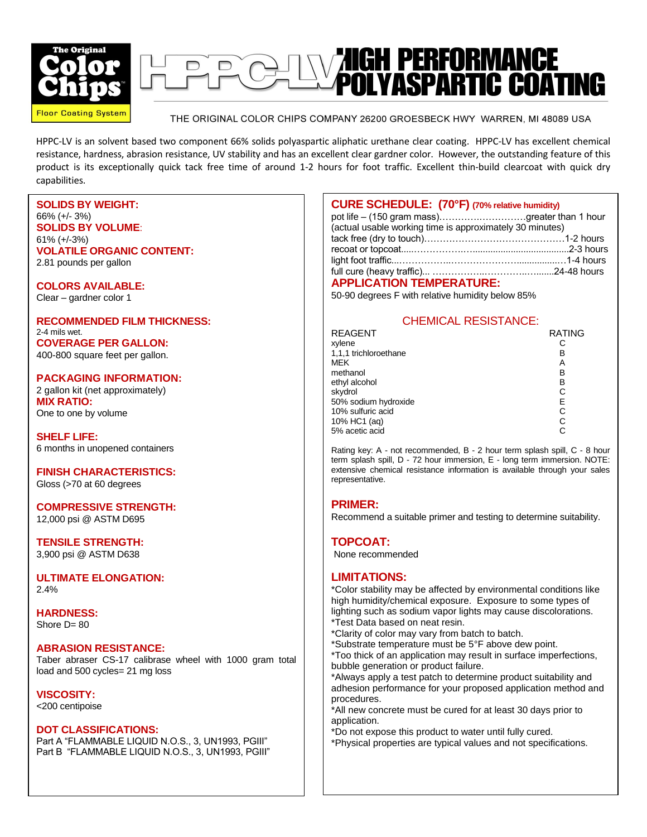



THE ORIGINAL COLOR CHIPS COMPANY 26200 GROESBECK HWY WARREN, MI 48089 USA

HPPC-LV is an solvent based two component 66% solids polyaspartic aliphatic urethane clear coating. HPPC-LV has excellent chemical resistance, hardness, abrasion resistance, UV stability and has an excellent clear gardner color. However, the outstanding feature of this product is its exceptionally quick tack free time of around 1-2 hours for foot traffic. Excellent thin-build clearcoat with quick dry capabilities.

**SOLIDS BY WEIGHT:** 66% (+/- 3%) **SOLIDS BY VOLUME**: 61% (+/-3%) **VOLATILE ORGANIC CONTENT:** 2.81 pounds per gallon

**COLORS AVAILABLE:** Clear – gardner color 1

**RECOMMENDED FILM THICKNESS:** 2-4 mils wet. **COVERAGE PER GALLON:** 400-800 square feet per gallon.

**PACKAGING INFORMATION:** 2 gallon kit (net approximately) **MIX RATIO:** One to one by volume

**SHELF LIFE:** 6 months in unopened containers

**FINISH CHARACTERISTICS:** Gloss (>70 at 60 degrees

**COMPRESSIVE STRENGTH:** 12,000 psi @ ASTM D695

**TENSILE STRENGTH:** 3,900 psi @ ASTM D638

**ULTIMATE ELONGATION:** 2.4%

**HARDNESS:** Shore  $D = 80$ 

## **ABRASION RESISTANCE:**

Taber abraser CS-17 calibrase wheel with 1000 gram total load and 500 cycles= 21 mg loss

**VISCOSITY:** <200 centipoise

## **DOT CLASSIFICATIONS:**

Part A "FLAMMABLE LIQUID N.O.S., 3, UN1993, PGIII" Part B "FLAMMABLE LIQUID N.O.S., 3, UN1993, PGIII"

| <b>CURE SCHEDULE:</b> (70°F) (70% relative humidity)     |  |
|----------------------------------------------------------|--|
| pot life - (150 gram mass)greater than 1 hour            |  |
| (actual usable working time is approximately 30 minutes) |  |
|                                                          |  |
|                                                          |  |
|                                                          |  |
|                                                          |  |

#### **APPLICATION TEMPERATURE:**

50-90 degrees F with relative humidity below 85%

# CHEMICAL RESISTANCE:

| REAGENT               | <b>RATING</b> |
|-----------------------|---------------|
| xylene                |               |
| 1,1,1 trichloroethane | в             |
| MEK                   | А             |
| methanol              | В             |
| ethyl alcohol         | в             |
| skydrol               | C             |
| 50% sodium hydroxide  | Е             |
| 10% sulfuric acid     | C             |
| 10% HC1 (aq)          | C             |
| 5% acetic acid        |               |
|                       |               |

Rating key: A - not recommended, B - 2 hour term splash spill, C - 8 hour term splash spill, D - 72 hour immersion, E - long term immersion. NOTE: extensive chemical resistance information is available through your sales representative.

## **PRIMER:**

Recommend a suitable primer and testing to determine suitability.

## **TOPCOAT:**

None recommended

## **LIMITATIONS:**

\*Color stability may be affected by environmental conditions like high humidity/chemical exposure. Exposure to some types of lighting such as sodium vapor lights may cause discolorations. \*Test Data based on neat resin.

- \*Clarity of color may vary from batch to batch.
- \*Substrate temperature must be 5°F above dew point.
- \*Too thick of an application may result in surface imperfections, bubble generation or product failure.

\*Always apply a test patch to determine product suitability and adhesion performance for your proposed application method and procedures.

\*All new concrete must be cured for at least 30 days prior to application.

\*Do not expose this product to water until fully cured. \*Physical properties are typical values and not specifications.